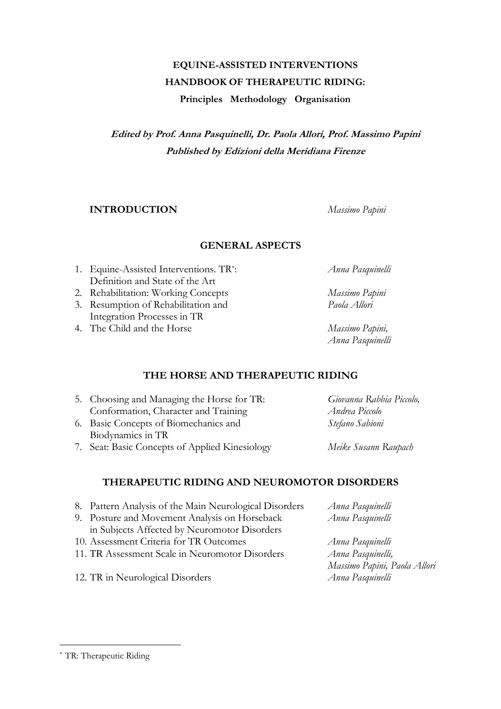# **EQUINE-ASSISTED INTERVENTIONS HANDBOOK OF THERAPEUTIC RIDING:**

**Principles Methodology Organisation**

**Edited by Prof. Anna Pasquinelli, Dr. Paola Allori, Prof. Massimo Papini Published by Edizioni della Meridiana Firenze**

#### **INTRODUCTION** *Massimo Papini*

#### **GENERAL ASPECTS**

- 1. Equine-Assisted Interventions. TR\* Definition and State of the Art
- 2. Rehabilitation: Working Concepts *Massimo Papini*
- 3. Resumption of Rehabilitation and *Paola Allori* Integration Processes in TR
- 4. The Child and the Horse *Massimo Papini,*

: *Anna Pasquinelli*

*Anna Pasquinelli*

### **THE HORSE AND THERAPEUTIC RIDING**

- 5. Choosing and Managing the Horse for TR: *Giovanna Rabbia Piccolo,* Conformation, Character and Training *Andrea Piccolo* 6. Basic Concepts of Biomechanics and *Stefano Sabioni* Biodynamics in TR
- 7. Seat: Basic Concepts of Applied Kinesiology *Meike Susann Raupach*

## **THERAPEUTIC RIDING AND NEUROMOTOR DISORDERS**

| 8. Pattern Analysis of the Main Neurological Disorders | Anna Pasquinelli             |
|--------------------------------------------------------|------------------------------|
| 9. Posture and Movement Analysis on Horseback          | Anna Pasquinelli             |
| in Subjects Affected by Neuromotor Disorders           |                              |
| 10. Assessment Criteria for TR Outcomes                | Anna Pasquinelli             |
| 11. TR Assessment Scale in Neuromotor Disorders        | Anna Pasquinelli,            |
|                                                        | Massimo Papini, Paola Allori |
| 12. TR in Neurological Disorders                       | Anna Pasquinelli             |

#### \* TR: Therapeutic Riding

l